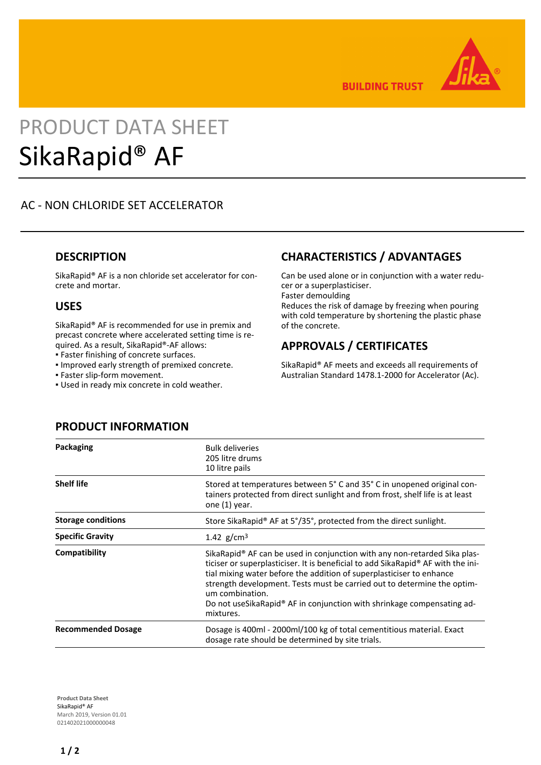

**BUILDING TRUST** 

# PRODUCT DATA SHEET SikaRapid® AF

# AC - NON CHLORIDE SET ACCELERATOR

#### **DESCRIPTION**

SikaRapid® AF is a non chloride set accelerator for concrete and mortar.

#### **USES**

SikaRapid® AF is recommended for use in premix and precast concrete where accelerated setting time is required. As a result, SikaRapid®-AF allows:

- Faster finishing of concrete surfaces.
- Improved early strength of premixed concrete.
- Faster slip-form movement.
- Used in ready mix concrete in cold weather.

## **CHARACTERISTICS / ADVANTAGES**

Can be used alone or in conjunction with a water reducer or a superplasticiser. Faster demoulding

Reduces the risk of damage by freezing when pouring with cold temperature by shortening the plastic phase of the concrete.

# **APPROVALS / CERTIFICATES**

SikaRapid® AF meets and exceeds all requirements of Australian Standard 1478.1-2000 for Accelerator (Ac).

| Packaging                 | <b>Bulk deliveries</b><br>205 litre drums<br>10 litre pails                                                                                                                                                                                                                                                                                                                                                                                          |
|---------------------------|------------------------------------------------------------------------------------------------------------------------------------------------------------------------------------------------------------------------------------------------------------------------------------------------------------------------------------------------------------------------------------------------------------------------------------------------------|
| <b>Shelf life</b>         | Stored at temperatures between 5° C and 35° C in unopened original con-<br>tainers protected from direct sunlight and from frost, shelf life is at least<br>one (1) year.                                                                                                                                                                                                                                                                            |
| <b>Storage conditions</b> | Store SikaRapid® AF at 5°/35°, protected from the direct sunlight.                                                                                                                                                                                                                                                                                                                                                                                   |
| <b>Specific Gravity</b>   | 1.42 $g/cm^3$                                                                                                                                                                                                                                                                                                                                                                                                                                        |
| Compatibility             | SikaRapid <sup>®</sup> AF can be used in conjunction with any non-retarded Sika plas-<br>ticiser or superplasticiser. It is beneficial to add SikaRapid® AF with the ini-<br>tial mixing water before the addition of superplasticiser to enhance<br>strength development. Tests must be carried out to determine the optim-<br>um combination.<br>Do not use Sika Rapid <sup>®</sup> AF in conjunction with shrinkage compensating ad-<br>mixtures. |
| <b>Recommended Dosage</b> | Dosage is 400ml - 2000ml/100 kg of total cementitious material. Exact<br>dosage rate should be determined by site trials.                                                                                                                                                                                                                                                                                                                            |

**PRODUCT INFORMATION**

**Product Data Sheet** SikaRapid® AF March 2019, Version 01.01 021402021000000048